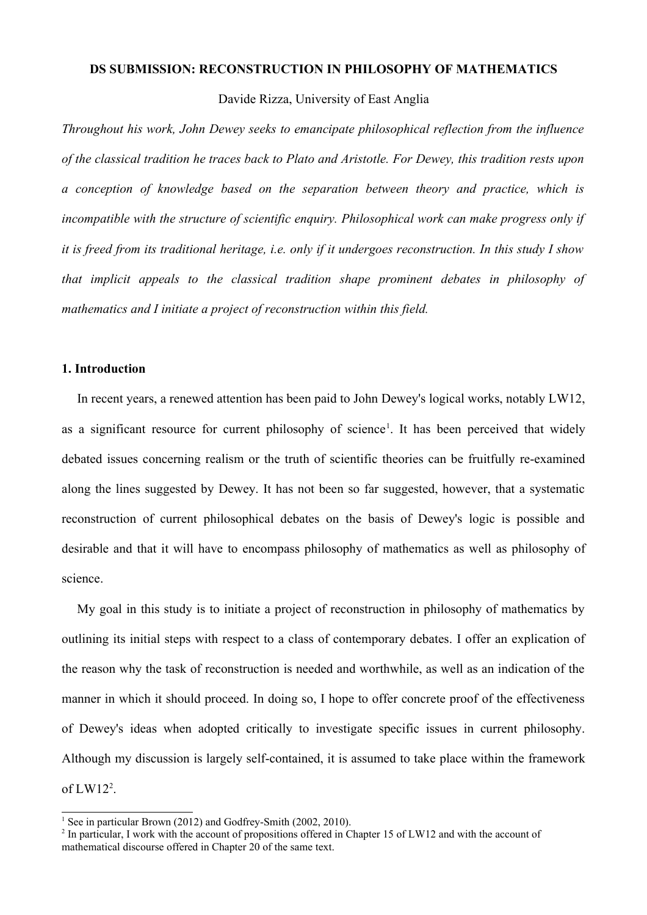# **DS SUBMISSION: RECONSTRUCTION IN PHILOSOPHY OF MATHEMATICS**

Davide Rizza, University of East Anglia

*Throughout his work, John Dewey seeks to emancipate philosophical reflection from the influence of the classical tradition he traces back to Plato and Aristotle. For Dewey, this tradition rests upon a conception of knowledge based on the separation between theory and practice, which is incompatible with the structure of scientific enquiry. Philosophical work can make progress only if it is freed from its traditional heritage, i.e. only if it undergoes reconstruction. In this study I show that implicit appeals to the classical tradition shape prominent debates in philosophy of mathematics and I initiate a project of reconstruction within this field.* 

#### **1. Introduction**

In recent years, a renewed attention has been paid to John Dewey's logical works, notably LW12, as a significant resource for current philosophy of science<sup>[1](#page-0-0)</sup>. It has been perceived that widely debated issues concerning realism or the truth of scientific theories can be fruitfully re-examined along the lines suggested by Dewey. It has not been so far suggested, however, that a systematic reconstruction of current philosophical debates on the basis of Dewey's logic is possible and desirable and that it will have to encompass philosophy of mathematics as well as philosophy of science.

My goal in this study is to initiate a project of reconstruction in philosophy of mathematics by outlining its initial steps with respect to a class of contemporary debates. I offer an explication of the reason why the task of reconstruction is needed and worthwhile, as well as an indication of the manner in which it should proceed. In doing so, I hope to offer concrete proof of the effectiveness of Dewey's ideas when adopted critically to investigate specific issues in current philosophy. Although my discussion is largely self-contained, it is assumed to take place within the framework of  $LW12<sup>2</sup>$  $LW12<sup>2</sup>$  $LW12<sup>2</sup>$ .

<span id="page-0-0"></span><sup>&</sup>lt;sup>1</sup> See in particular Brown (2012) and Godfrey-Smith (2002, 2010).

<span id="page-0-1"></span><sup>&</sup>lt;sup>2</sup> In particular, I work with the account of propositions offered in Chapter 15 of LW12 and with the account of mathematical discourse offered in Chapter 20 of the same text.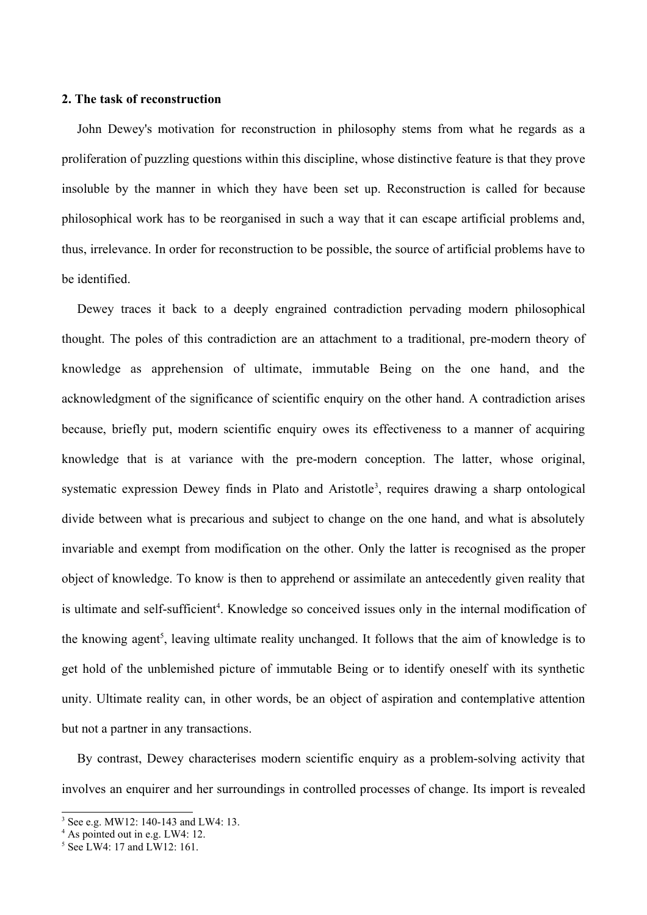# **2. The task of reconstruction**

John Dewey's motivation for reconstruction in philosophy stems from what he regards as a proliferation of puzzling questions within this discipline, whose distinctive feature is that they prove insoluble by the manner in which they have been set up. Reconstruction is called for because philosophical work has to be reorganised in such a way that it can escape artificial problems and, thus, irrelevance. In order for reconstruction to be possible, the source of artificial problems have to be identified.

Dewey traces it back to a deeply engrained contradiction pervading modern philosophical thought. The poles of this contradiction are an attachment to a traditional, pre-modern theory of knowledge as apprehension of ultimate, immutable Being on the one hand, and the acknowledgment of the significance of scientific enquiry on the other hand. A contradiction arises because, briefly put, modern scientific enquiry owes its effectiveness to a manner of acquiring knowledge that is at variance with the pre-modern conception. The latter, whose original, systematic expression Dewey finds in Plato and Aristotle<sup>[3](#page-1-0)</sup>, requires drawing a sharp ontological divide between what is precarious and subject to change on the one hand, and what is absolutely invariable and exempt from modification on the other. Only the latter is recognised as the proper object of knowledge. To know is then to apprehend or assimilate an antecedently given reality that is ultimate and self-sufficient<sup>[4](#page-1-1)</sup>. Knowledge so conceived issues only in the internal modification of the knowing agent<sup>[5](#page-1-2)</sup>, leaving ultimate reality unchanged. It follows that the aim of knowledge is to get hold of the unblemished picture of immutable Being or to identify oneself with its synthetic unity. Ultimate reality can, in other words, be an object of aspiration and contemplative attention but not a partner in any transactions.

By contrast, Dewey characterises modern scientific enquiry as a problem-solving activity that involves an enquirer and her surroundings in controlled processes of change. Its import is revealed

<span id="page-1-0"></span><sup>3</sup> See e.g. MW12: 140-143 and LW4: 13.

<span id="page-1-1"></span><sup>4</sup> As pointed out in e.g. LW4: 12.

<span id="page-1-2"></span><sup>5</sup> See LW4: 17 and LW12: 161.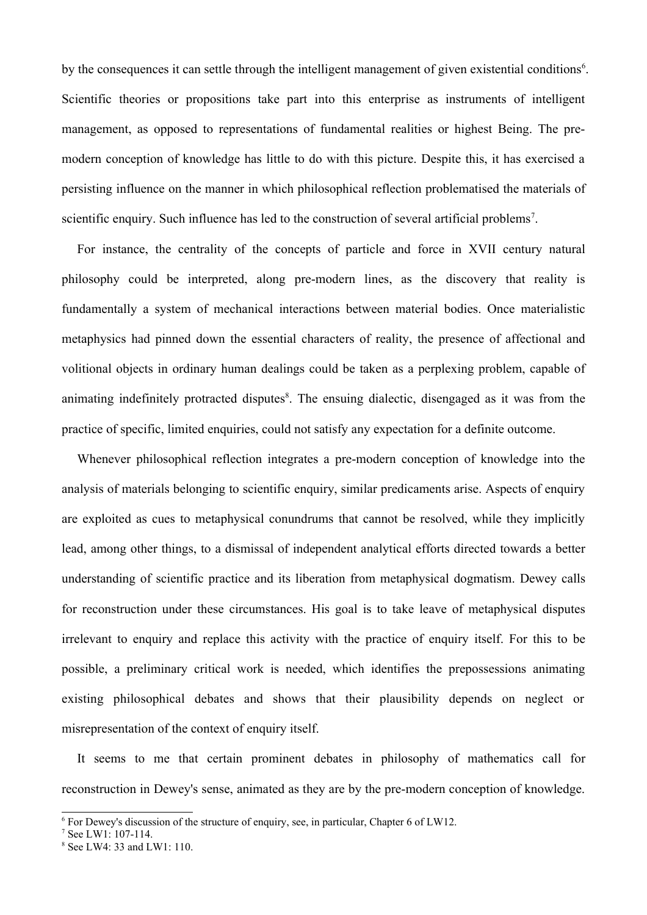by the consequences it can settle through the intelligent management of given existential conditions<sup>[6](#page-2-0)</sup>. Scientific theories or propositions take part into this enterprise as instruments of intelligent management, as opposed to representations of fundamental realities or highest Being. The premodern conception of knowledge has little to do with this picture. Despite this, it has exercised a persisting influence on the manner in which philosophical reflection problematised the materials of scientific enquiry. Such influence has led to the construction of several artificial problems<sup>[7](#page-2-1)</sup>.

For instance, the centrality of the concepts of particle and force in XVII century natural philosophy could be interpreted, along pre-modern lines, as the discovery that reality is fundamentally a system of mechanical interactions between material bodies. Once materialistic metaphysics had pinned down the essential characters of reality, the presence of affectional and volitional objects in ordinary human dealings could be taken as a perplexing problem, capable of animating indefinitely protracted disputes<sup>[8](#page-2-2)</sup>. The ensuing dialectic, disengaged as it was from the practice of specific, limited enquiries, could not satisfy any expectation for a definite outcome.

Whenever philosophical reflection integrates a pre-modern conception of knowledge into the analysis of materials belonging to scientific enquiry, similar predicaments arise. Aspects of enquiry are exploited as cues to metaphysical conundrums that cannot be resolved, while they implicitly lead, among other things, to a dismissal of independent analytical efforts directed towards a better understanding of scientific practice and its liberation from metaphysical dogmatism. Dewey calls for reconstruction under these circumstances. His goal is to take leave of metaphysical disputes irrelevant to enquiry and replace this activity with the practice of enquiry itself. For this to be possible, a preliminary critical work is needed, which identifies the prepossessions animating existing philosophical debates and shows that their plausibility depends on neglect or misrepresentation of the context of enquiry itself.

It seems to me that certain prominent debates in philosophy of mathematics call for reconstruction in Dewey's sense, animated as they are by the pre-modern conception of knowledge.

<span id="page-2-0"></span><sup>&</sup>lt;sup>6</sup> For Dewey's discussion of the structure of enquiry, see, in particular, Chapter 6 of LW12.

<span id="page-2-1"></span><sup>7</sup> See LW1: 107-114.

<span id="page-2-2"></span><sup>8</sup> See LW4: 33 and LW1: 110.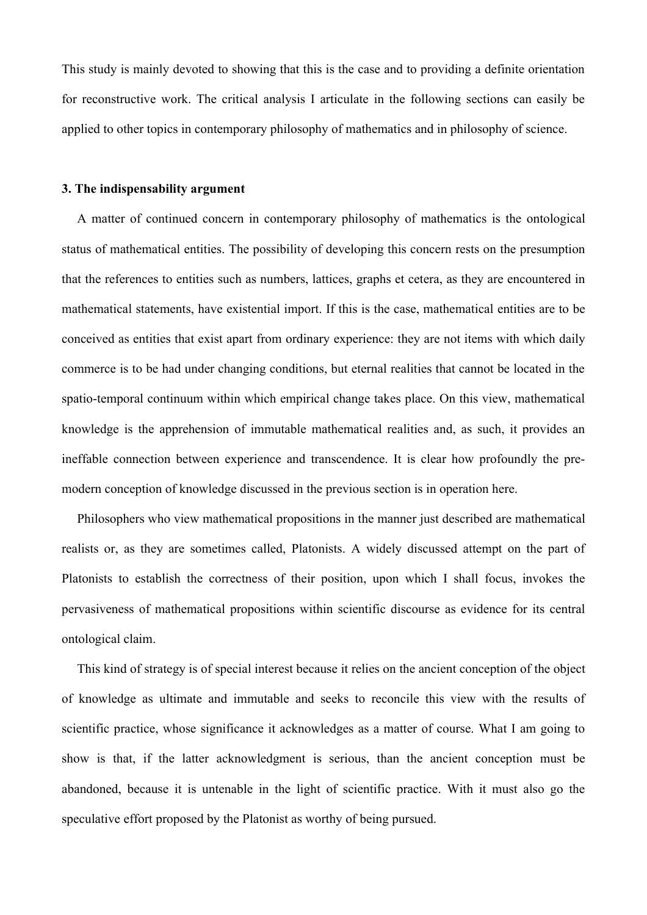This study is mainly devoted to showing that this is the case and to providing a definite orientation for reconstructive work. The critical analysis I articulate in the following sections can easily be applied to other topics in contemporary philosophy of mathematics and in philosophy of science.

# **3. The indispensability argument**

A matter of continued concern in contemporary philosophy of mathematics is the ontological status of mathematical entities. The possibility of developing this concern rests on the presumption that the references to entities such as numbers, lattices, graphs et cetera, as they are encountered in mathematical statements, have existential import. If this is the case, mathematical entities are to be conceived as entities that exist apart from ordinary experience: they are not items with which daily commerce is to be had under changing conditions, but eternal realities that cannot be located in the spatio-temporal continuum within which empirical change takes place. On this view, mathematical knowledge is the apprehension of immutable mathematical realities and, as such, it provides an ineffable connection between experience and transcendence. It is clear how profoundly the premodern conception of knowledge discussed in the previous section is in operation here.

Philosophers who view mathematical propositions in the manner just described are mathematical realists or, as they are sometimes called, Platonists. A widely discussed attempt on the part of Platonists to establish the correctness of their position, upon which I shall focus, invokes the pervasiveness of mathematical propositions within scientific discourse as evidence for its central ontological claim.

This kind of strategy is of special interest because it relies on the ancient conception of the object of knowledge as ultimate and immutable and seeks to reconcile this view with the results of scientific practice, whose significance it acknowledges as a matter of course. What I am going to show is that, if the latter acknowledgment is serious, than the ancient conception must be abandoned, because it is untenable in the light of scientific practice. With it must also go the speculative effort proposed by the Platonist as worthy of being pursued.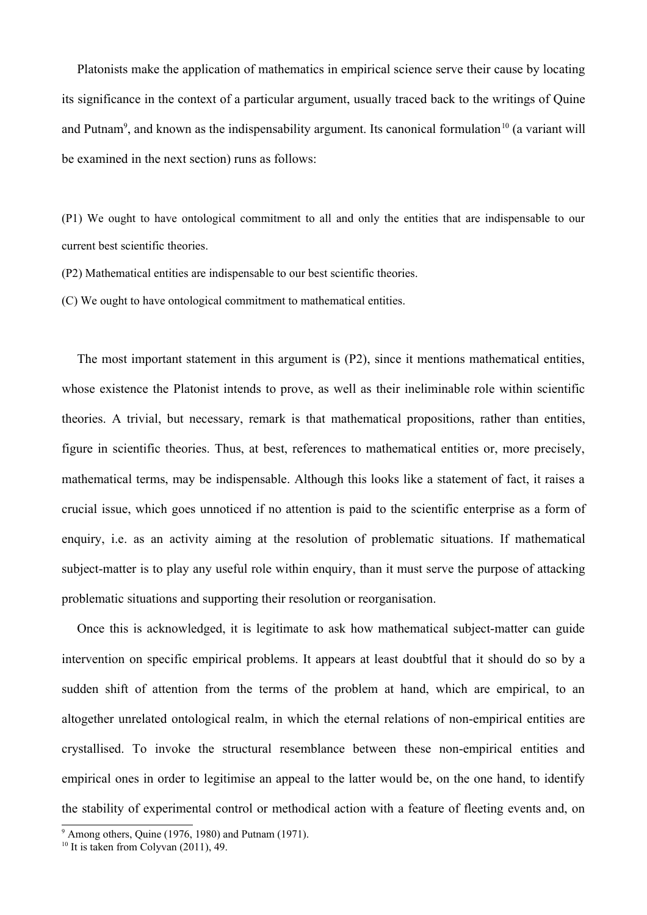Platonists make the application of mathematics in empirical science serve their cause by locating its significance in the context of a particular argument, usually traced back to the writings of Quine and Putnam<sup>[9](#page-4-0)</sup>, and known as the indispensability argument. Its canonical formulation<sup>[10](#page-4-1)</sup> (a variant will be examined in the next section) runs as follows:

(P1) We ought to have ontological commitment to all and only the entities that are indispensable to our current best scientific theories.

(P2) Mathematical entities are indispensable to our best scientific theories.

(C) We ought to have ontological commitment to mathematical entities.

The most important statement in this argument is (P2), since it mentions mathematical entities, whose existence the Platonist intends to prove, as well as their ineliminable role within scientific theories. A trivial, but necessary, remark is that mathematical propositions, rather than entities, figure in scientific theories. Thus, at best, references to mathematical entities or, more precisely, mathematical terms, may be indispensable. Although this looks like a statement of fact, it raises a crucial issue, which goes unnoticed if no attention is paid to the scientific enterprise as a form of enquiry, i.e. as an activity aiming at the resolution of problematic situations. If mathematical subject-matter is to play any useful role within enquiry, than it must serve the purpose of attacking problematic situations and supporting their resolution or reorganisation.

Once this is acknowledged, it is legitimate to ask how mathematical subject-matter can guide intervention on specific empirical problems. It appears at least doubtful that it should do so by a sudden shift of attention from the terms of the problem at hand, which are empirical, to an altogether unrelated ontological realm, in which the eternal relations of non-empirical entities are crystallised. To invoke the structural resemblance between these non-empirical entities and empirical ones in order to legitimise an appeal to the latter would be, on the one hand, to identify the stability of experimental control or methodical action with a feature of fleeting events and, on

<span id="page-4-0"></span> $9$  Among others, Quine (1976, 1980) and Putnam (1971).

<span id="page-4-1"></span> $10$  It is taken from Colyvan (2011), 49.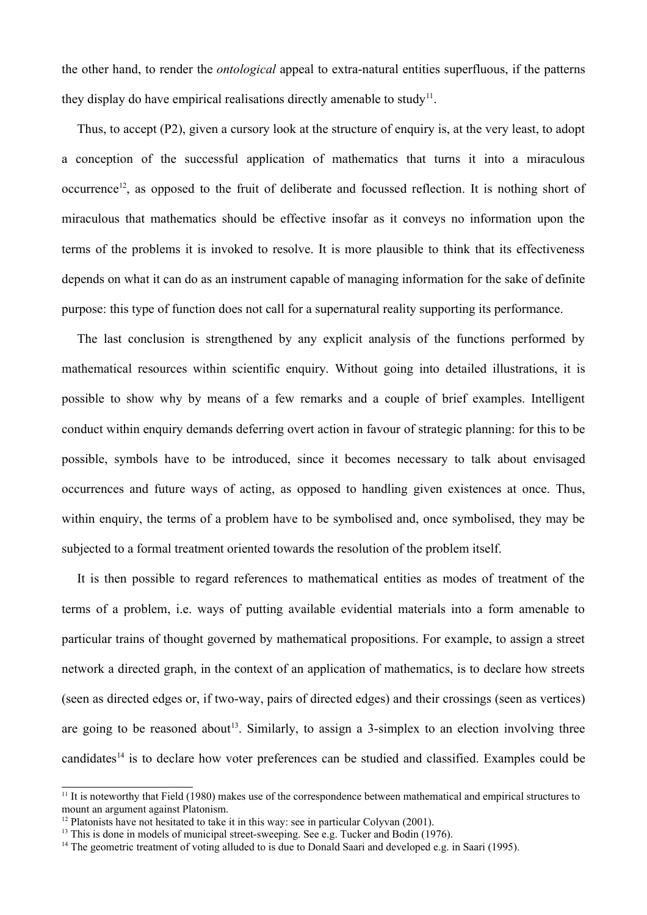the other hand, to render the *ontological* appeal to extra-natural entities superfluous, if the patterns they display do have empirical realisations directly amenable to study<sup>[11](#page-5-0)</sup>.

Thus, to accept (P2), given a cursory look at the structure of enquiry is, at the very least, to adopt a conception of the successful application of mathematics that turns it into a miraculous occurrence<sup>[12](#page-5-1)</sup>, as opposed to the fruit of deliberate and focussed reflection. It is nothing short of miraculous that mathematics should be effective insofar as it conveys no information upon the terms of the problems it is invoked to resolve. It is more plausible to think that its effectiveness depends on what it can do as an instrument capable of managing information for the sake of definite purpose: this type of function does not call for a supernatural reality supporting its performance.

The last conclusion is strengthened by any explicit analysis of the functions performed by mathematical resources within scientific enquiry. Without going into detailed illustrations, it is possible to show why by means of a few remarks and a couple of brief examples. Intelligent conduct within enquiry demands deferring overt action in favour of strategic planning: for this to be possible, symbols have to be introduced, since it becomes necessary to talk about envisaged occurrences and future ways of acting, as opposed to handling given existences at once. Thus, within enquiry, the terms of a problem have to be symbolised and, once symbolised, they may be subjected to a formal treatment oriented towards the resolution of the problem itself.

It is then possible to regard references to mathematical entities as modes of treatment of the terms of a problem, i.e. ways of putting available evidential materials into a form amenable to particular trains of thought governed by mathematical propositions. For example, to assign a street network a directed graph, in the context of an application of mathematics, is to declare how streets (seen as directed edges or, if two-way, pairs of directed edges) and their crossings (seen as vertices) are going to be reasoned about<sup>[13](#page-5-2)</sup>. Similarly, to assign a 3-simplex to an election involving three candidates<sup>[14](#page-5-3)</sup> is to declare how voter preferences can be studied and classified. Examples could be

<span id="page-5-0"></span> $11$  It is noteworthy that Field (1980) makes use of the correspondence between mathematical and empirical structures to mount an argument against Platonism.

<span id="page-5-1"></span> $12$  Platonists have not hesitated to take it in this way: see in particular Colyvan (2001).

<span id="page-5-2"></span><sup>&</sup>lt;sup>13</sup> This is done in models of municipal street-sweeping. See e.g. Tucker and Bodin (1976).

<span id="page-5-3"></span><sup>&</sup>lt;sup>14</sup> The geometric treatment of voting alluded to is due to Donald Saari and developed e.g. in Saari (1995).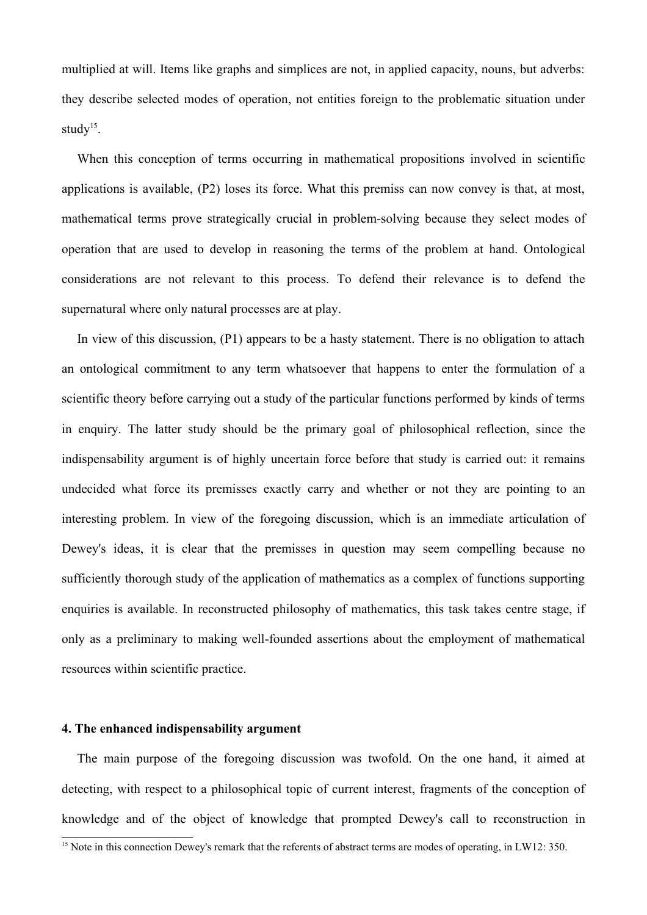multiplied at will. Items like graphs and simplices are not, in applied capacity, nouns, but adverbs: they describe selected modes of operation, not entities foreign to the problematic situation under study $15$ .

When this conception of terms occurring in mathematical propositions involved in scientific applications is available, (P2) loses its force. What this premiss can now convey is that, at most, mathematical terms prove strategically crucial in problem-solving because they select modes of operation that are used to develop in reasoning the terms of the problem at hand. Ontological considerations are not relevant to this process. To defend their relevance is to defend the supernatural where only natural processes are at play.

In view of this discussion, (P1) appears to be a hasty statement. There is no obligation to attach an ontological commitment to any term whatsoever that happens to enter the formulation of a scientific theory before carrying out a study of the particular functions performed by kinds of terms in enquiry. The latter study should be the primary goal of philosophical reflection, since the indispensability argument is of highly uncertain force before that study is carried out: it remains undecided what force its premisses exactly carry and whether or not they are pointing to an interesting problem. In view of the foregoing discussion, which is an immediate articulation of Dewey's ideas, it is clear that the premisses in question may seem compelling because no sufficiently thorough study of the application of mathematics as a complex of functions supporting enquiries is available. In reconstructed philosophy of mathematics, this task takes centre stage, if only as a preliminary to making well-founded assertions about the employment of mathematical resources within scientific practice.

## **4. The enhanced indispensability argument**

The main purpose of the foregoing discussion was twofold. On the one hand, it aimed at detecting, with respect to a philosophical topic of current interest, fragments of the conception of knowledge and of the object of knowledge that prompted Dewey's call to reconstruction in

<span id="page-6-0"></span><sup>&</sup>lt;sup>15</sup> Note in this connection Dewey's remark that the referents of abstract terms are modes of operating, in LW12: 350.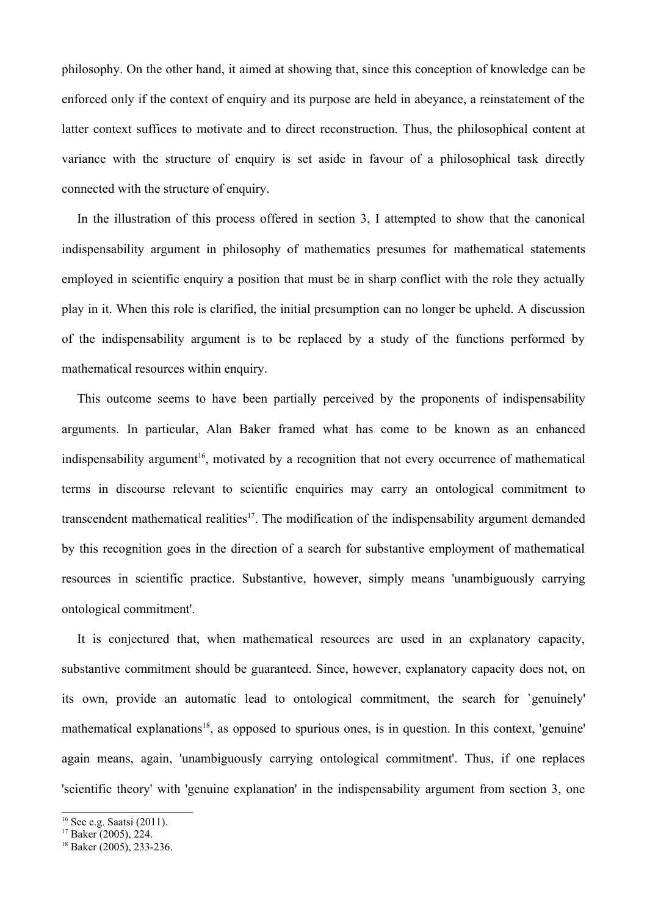philosophy. On the other hand, it aimed at showing that, since this conception of knowledge can be enforced only if the context of enquiry and its purpose are held in abeyance, a reinstatement of the latter context suffices to motivate and to direct reconstruction. Thus, the philosophical content at variance with the structure of enquiry is set aside in favour of a philosophical task directly connected with the structure of enquiry.

In the illustration of this process offered in section 3, I attempted to show that the canonical indispensability argument in philosophy of mathematics presumes for mathematical statements employed in scientific enquiry a position that must be in sharp conflict with the role they actually play in it. When this role is clarified, the initial presumption can no longer be upheld. A discussion of the indispensability argument is to be replaced by a study of the functions performed by mathematical resources within enquiry.

This outcome seems to have been partially perceived by the proponents of indispensability arguments. In particular, Alan Baker framed what has come to be known as an enhanced indispensability argument<sup>[16](#page-7-0)</sup>, motivated by a recognition that not every occurrence of mathematical terms in discourse relevant to scientific enquiries may carry an ontological commitment to transcendent mathematical realities<sup>[17](#page-7-1)</sup>. The modification of the indispensability argument demanded by this recognition goes in the direction of a search for substantive employment of mathematical resources in scientific practice. Substantive, however, simply means 'unambiguously carrying ontological commitment'.

It is conjectured that, when mathematical resources are used in an explanatory capacity, substantive commitment should be guaranteed. Since, however, explanatory capacity does not, on its own, provide an automatic lead to ontological commitment, the search for `genuinely' mathematical explanations<sup>[18](#page-7-2)</sup>, as opposed to spurious ones, is in question. In this context, 'genuine' again means, again, 'unambiguously carrying ontological commitment'. Thus, if one replaces 'scientific theory' with 'genuine explanation' in the indispensability argument from section 3, one

<span id="page-7-0"></span><sup>&</sup>lt;sup>16</sup> See e.g. Saatsi (2011).

<span id="page-7-1"></span> $17$  Baker (2005), 224.

<span id="page-7-2"></span><sup>18</sup> Baker (2005), 233-236.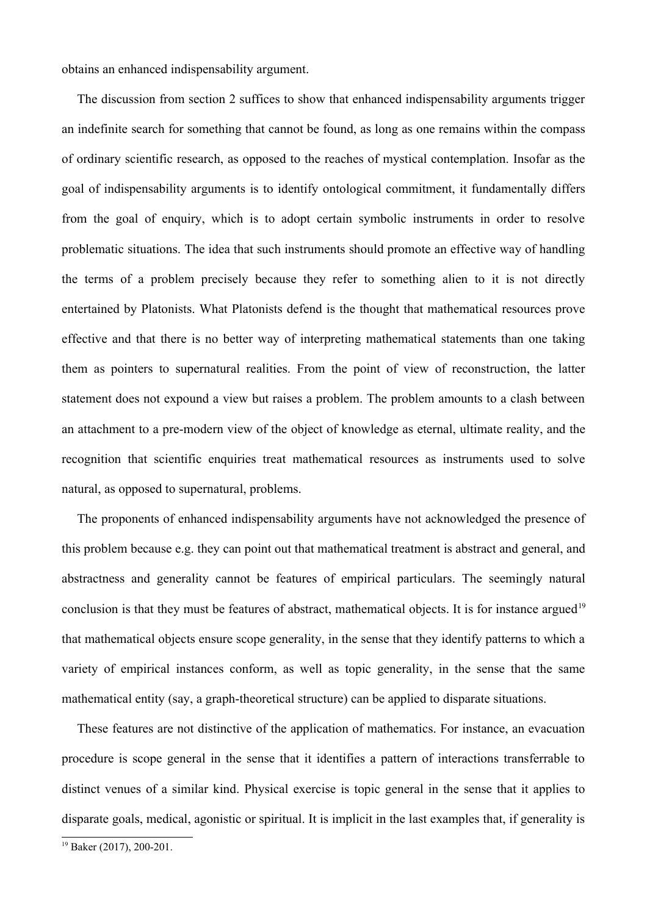obtains an enhanced indispensability argument.

The discussion from section 2 suffices to show that enhanced indispensability arguments trigger an indefinite search for something that cannot be found, as long as one remains within the compass of ordinary scientific research, as opposed to the reaches of mystical contemplation. Insofar as the goal of indispensability arguments is to identify ontological commitment, it fundamentally differs from the goal of enquiry, which is to adopt certain symbolic instruments in order to resolve problematic situations. The idea that such instruments should promote an effective way of handling the terms of a problem precisely because they refer to something alien to it is not directly entertained by Platonists. What Platonists defend is the thought that mathematical resources prove effective and that there is no better way of interpreting mathematical statements than one taking them as pointers to supernatural realities. From the point of view of reconstruction, the latter statement does not expound a view but raises a problem. The problem amounts to a clash between an attachment to a pre-modern view of the object of knowledge as eternal, ultimate reality, and the recognition that scientific enquiries treat mathematical resources as instruments used to solve natural, as opposed to supernatural, problems.

The proponents of enhanced indispensability arguments have not acknowledged the presence of this problem because e.g. they can point out that mathematical treatment is abstract and general, and abstractness and generality cannot be features of empirical particulars. The seemingly natural conclusion is that they must be features of abstract, mathematical objects. It is for instance argued<sup>[19](#page-8-0)</sup> that mathematical objects ensure scope generality, in the sense that they identify patterns to which a variety of empirical instances conform, as well as topic generality, in the sense that the same mathematical entity (say, a graph-theoretical structure) can be applied to disparate situations.

These features are not distinctive of the application of mathematics. For instance, an evacuation procedure is scope general in the sense that it identifies a pattern of interactions transferrable to distinct venues of a similar kind. Physical exercise is topic general in the sense that it applies to disparate goals, medical, agonistic or spiritual. It is implicit in the last examples that, if generality is

<span id="page-8-0"></span><sup>19</sup> Baker (2017), 200-201.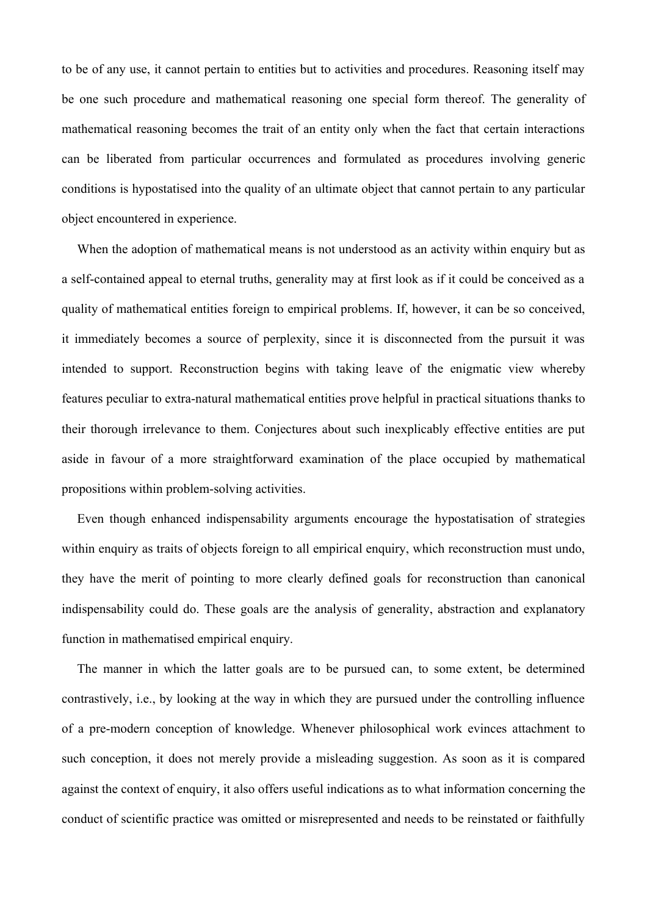to be of any use, it cannot pertain to entities but to activities and procedures. Reasoning itself may be one such procedure and mathematical reasoning one special form thereof. The generality of mathematical reasoning becomes the trait of an entity only when the fact that certain interactions can be liberated from particular occurrences and formulated as procedures involving generic conditions is hypostatised into the quality of an ultimate object that cannot pertain to any particular object encountered in experience.

When the adoption of mathematical means is not understood as an activity within enquiry but as a self-contained appeal to eternal truths, generality may at first look as if it could be conceived as a quality of mathematical entities foreign to empirical problems. If, however, it can be so conceived, it immediately becomes a source of perplexity, since it is disconnected from the pursuit it was intended to support. Reconstruction begins with taking leave of the enigmatic view whereby features peculiar to extra-natural mathematical entities prove helpful in practical situations thanks to their thorough irrelevance to them. Conjectures about such inexplicably effective entities are put aside in favour of a more straightforward examination of the place occupied by mathematical propositions within problem-solving activities.

Even though enhanced indispensability arguments encourage the hypostatisation of strategies within enquiry as traits of objects foreign to all empirical enquiry, which reconstruction must undo, they have the merit of pointing to more clearly defined goals for reconstruction than canonical indispensability could do. These goals are the analysis of generality, abstraction and explanatory function in mathematised empirical enquiry.

The manner in which the latter goals are to be pursued can, to some extent, be determined contrastively, i.e., by looking at the way in which they are pursued under the controlling influence of a pre-modern conception of knowledge. Whenever philosophical work evinces attachment to such conception, it does not merely provide a misleading suggestion. As soon as it is compared against the context of enquiry, it also offers useful indications as to what information concerning the conduct of scientific practice was omitted or misrepresented and needs to be reinstated or faithfully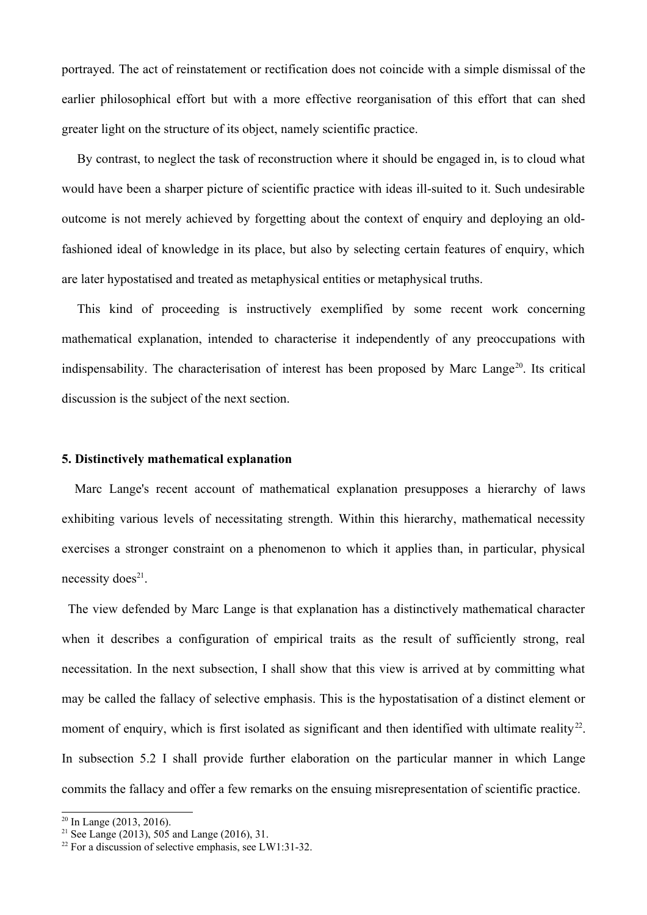portrayed. The act of reinstatement or rectification does not coincide with a simple dismissal of the earlier philosophical effort but with a more effective reorganisation of this effort that can shed greater light on the structure of its object, namely scientific practice.

By contrast, to neglect the task of reconstruction where it should be engaged in, is to cloud what would have been a sharper picture of scientific practice with ideas ill-suited to it. Such undesirable outcome is not merely achieved by forgetting about the context of enquiry and deploying an oldfashioned ideal of knowledge in its place, but also by selecting certain features of enquiry, which are later hypostatised and treated as metaphysical entities or metaphysical truths.

This kind of proceeding is instructively exemplified by some recent work concerning mathematical explanation, intended to characterise it independently of any preoccupations with indispensability. The characterisation of interest has been proposed by Marc Lange<sup>[20](#page-10-0)</sup>. Its critical discussion is the subject of the next section.

# **5. Distinctively mathematical explanation**

 Marc Lange's recent account of mathematical explanation presupposes a hierarchy of laws exhibiting various levels of necessitating strength. Within this hierarchy, mathematical necessity exercises a stronger constraint on a phenomenon to which it applies than, in particular, physical necessity does<sup>[21](#page-10-1)</sup>.

The view defended by Marc Lange is that explanation has a distinctively mathematical character when it describes a configuration of empirical traits as the result of sufficiently strong, real necessitation. In the next subsection, I shall show that this view is arrived at by committing what may be called the fallacy of selective emphasis. This is the hypostatisation of a distinct element or moment of enquiry, which is first isolated as significant and then identified with ultimate reality<sup>[22](#page-10-2)</sup>. In subsection 5.2 I shall provide further elaboration on the particular manner in which Lange commits the fallacy and offer a few remarks on the ensuing misrepresentation of scientific practice.

<span id="page-10-0"></span> $20 \text{ In Lange } (2013, 2016).$ 

<span id="page-10-1"></span><sup>21</sup> See Lange (2013), 505 and Lange (2016), 31.

<span id="page-10-2"></span><sup>&</sup>lt;sup>22</sup> For a discussion of selective emphasis, see LW1:31-32.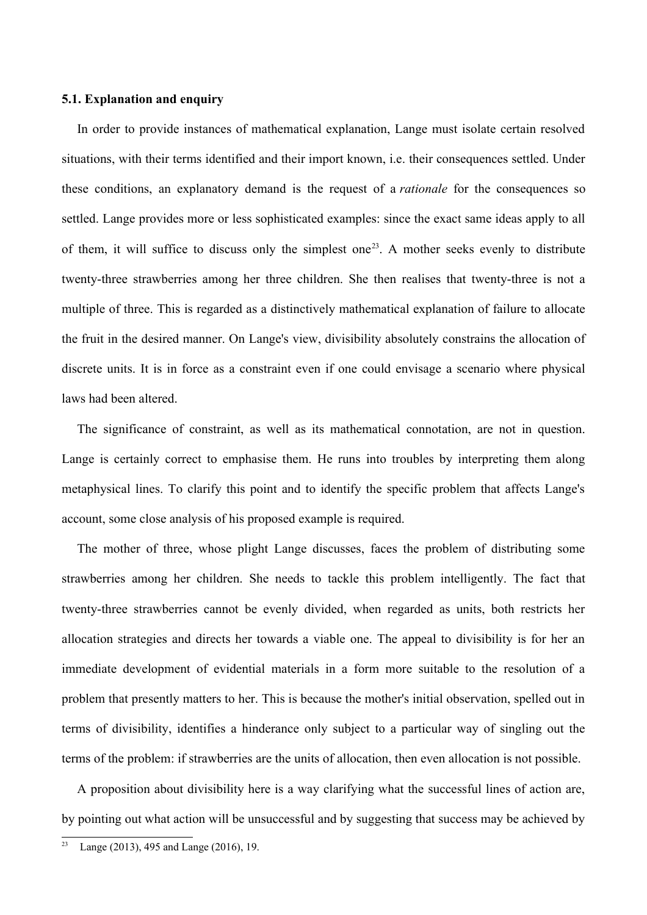# **5.1. Explanation and enquiry**

In order to provide instances of mathematical explanation, Lange must isolate certain resolved situations, with their terms identified and their import known, i.e. their consequences settled. Under these conditions, an explanatory demand is the request of a *rationale* for the consequences so settled. Lange provides more or less sophisticated examples: since the exact same ideas apply to all of them, it will suffice to discuss only the simplest one<sup>[23](#page-11-0)</sup>. A mother seeks evenly to distribute twenty-three strawberries among her three children. She then realises that twenty-three is not a multiple of three. This is regarded as a distinctively mathematical explanation of failure to allocate the fruit in the desired manner. On Lange's view, divisibility absolutely constrains the allocation of discrete units. It is in force as a constraint even if one could envisage a scenario where physical laws had been altered.

The significance of constraint, as well as its mathematical connotation, are not in question. Lange is certainly correct to emphasise them. He runs into troubles by interpreting them along metaphysical lines. To clarify this point and to identify the specific problem that affects Lange's account, some close analysis of his proposed example is required.

The mother of three, whose plight Lange discusses, faces the problem of distributing some strawberries among her children. She needs to tackle this problem intelligently. The fact that twenty-three strawberries cannot be evenly divided, when regarded as units, both restricts her allocation strategies and directs her towards a viable one. The appeal to divisibility is for her an immediate development of evidential materials in a form more suitable to the resolution of a problem that presently matters to her. This is because the mother's initial observation, spelled out in terms of divisibility, identifies a hinderance only subject to a particular way of singling out the terms of the problem: if strawberries are the units of allocation, then even allocation is not possible.

A proposition about divisibility here is a way clarifying what the successful lines of action are, by pointing out what action will be unsuccessful and by suggesting that success may be achieved by

<span id="page-11-0"></span><sup>&</sup>lt;sup>23</sup> Lange (2013), 495 and Lange (2016), 19.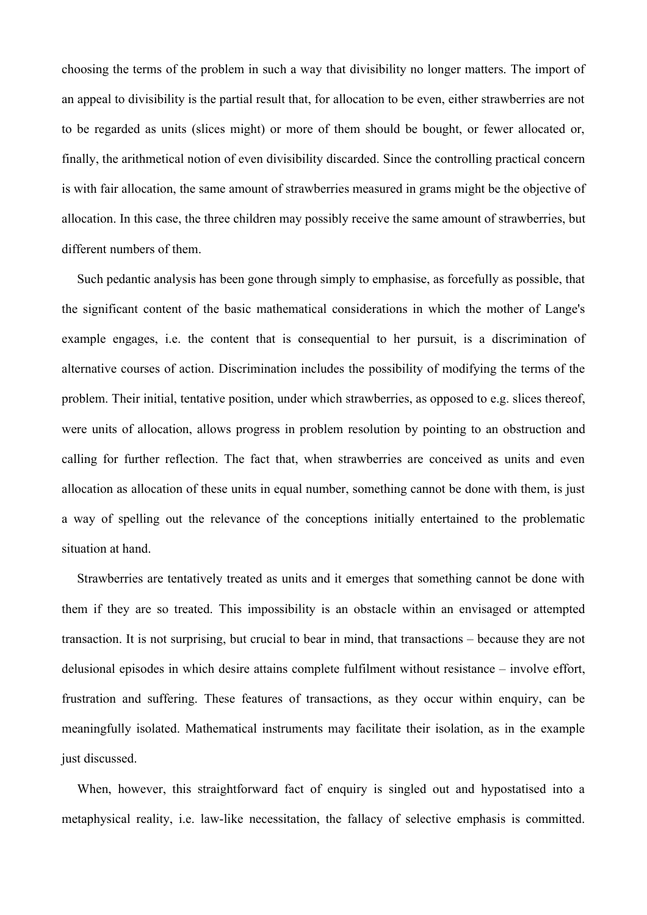choosing the terms of the problem in such a way that divisibility no longer matters. The import of an appeal to divisibility is the partial result that, for allocation to be even, either strawberries are not to be regarded as units (slices might) or more of them should be bought, or fewer allocated or, finally, the arithmetical notion of even divisibility discarded. Since the controlling practical concern is with fair allocation, the same amount of strawberries measured in grams might be the objective of allocation. In this case, the three children may possibly receive the same amount of strawberries, but different numbers of them.

Such pedantic analysis has been gone through simply to emphasise, as forcefully as possible, that the significant content of the basic mathematical considerations in which the mother of Lange's example engages, i.e. the content that is consequential to her pursuit, is a discrimination of alternative courses of action. Discrimination includes the possibility of modifying the terms of the problem. Their initial, tentative position, under which strawberries, as opposed to e.g. slices thereof, were units of allocation, allows progress in problem resolution by pointing to an obstruction and calling for further reflection. The fact that, when strawberries are conceived as units and even allocation as allocation of these units in equal number, something cannot be done with them, is just a way of spelling out the relevance of the conceptions initially entertained to the problematic situation at hand.

Strawberries are tentatively treated as units and it emerges that something cannot be done with them if they are so treated. This impossibility is an obstacle within an envisaged or attempted transaction. It is not surprising, but crucial to bear in mind, that transactions – because they are not delusional episodes in which desire attains complete fulfilment without resistance – involve effort, frustration and suffering. These features of transactions, as they occur within enquiry, can be meaningfully isolated. Mathematical instruments may facilitate their isolation, as in the example just discussed.

When, however, this straightforward fact of enquiry is singled out and hypostatised into a metaphysical reality, i.e. law-like necessitation, the fallacy of selective emphasis is committed.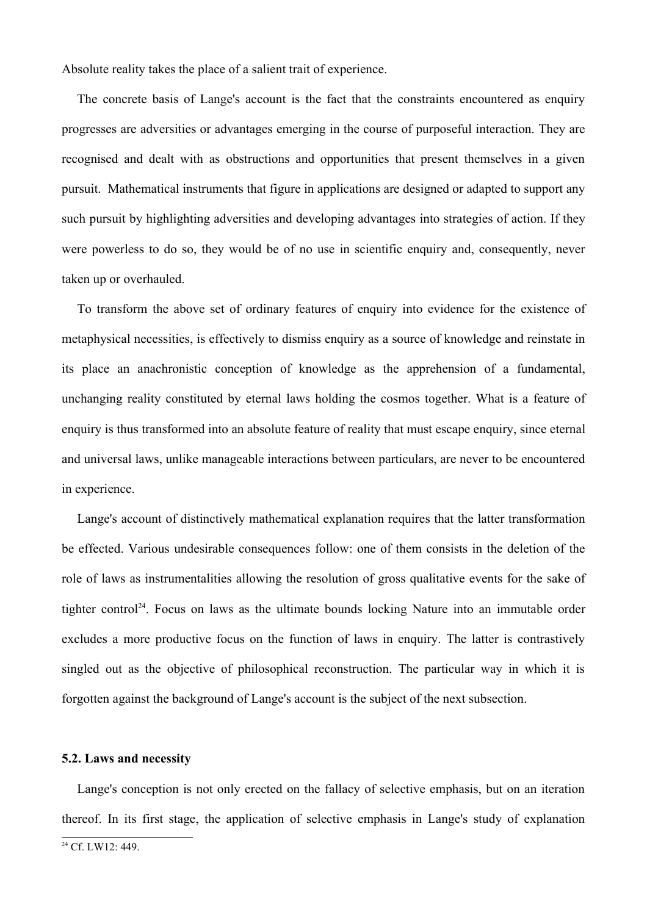Absolute reality takes the place of a salient trait of experience.

The concrete basis of Lange's account is the fact that the constraints encountered as enquiry progresses are adversities or advantages emerging in the course of purposeful interaction. They are recognised and dealt with as obstructions and opportunities that present themselves in a given pursuit. Mathematical instruments that figure in applications are designed or adapted to support any such pursuit by highlighting adversities and developing advantages into strategies of action. If they were powerless to do so, they would be of no use in scientific enquiry and, consequently, never taken up or overhauled.

To transform the above set of ordinary features of enquiry into evidence for the existence of metaphysical necessities, is effectively to dismiss enquiry as a source of knowledge and reinstate in its place an anachronistic conception of knowledge as the apprehension of a fundamental, unchanging reality constituted by eternal laws holding the cosmos together. What is a feature of enquiry is thus transformed into an absolute feature of reality that must escape enquiry, since eternal and universal laws, unlike manageable interactions between particulars, are never to be encountered in experience.

Lange's account of distinctively mathematical explanation requires that the latter transformation be effected. Various undesirable consequences follow: one of them consists in the deletion of the role of laws as instrumentalities allowing the resolution of gross qualitative events for the sake of tighter control<sup>[24](#page-13-0)</sup>. Focus on laws as the ultimate bounds locking Nature into an immutable order excludes a more productive focus on the function of laws in enquiry. The latter is contrastively singled out as the objective of philosophical reconstruction. The particular way in which it is forgotten against the background of Lange's account is the subject of the next subsection.

#### **5.2. Laws and necessity**

Lange's conception is not only erected on the fallacy of selective emphasis, but on an iteration thereof. In its first stage, the application of selective emphasis in Lange's study of explanation

<span id="page-13-0"></span><sup>&</sup>lt;sup>24</sup> Cf. LW12: 449.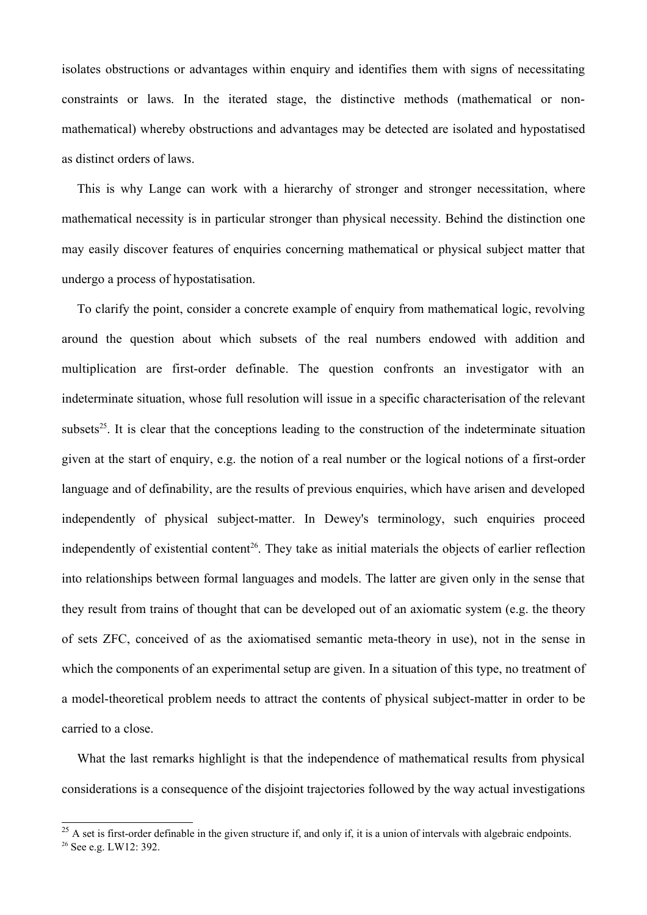isolates obstructions or advantages within enquiry and identifies them with signs of necessitating constraints or laws. In the iterated stage, the distinctive methods (mathematical or nonmathematical) whereby obstructions and advantages may be detected are isolated and hypostatised as distinct orders of laws.

This is why Lange can work with a hierarchy of stronger and stronger necessitation, where mathematical necessity is in particular stronger than physical necessity. Behind the distinction one may easily discover features of enquiries concerning mathematical or physical subject matter that undergo a process of hypostatisation.

To clarify the point, consider a concrete example of enquiry from mathematical logic, revolving around the question about which subsets of the real numbers endowed with addition and multiplication are first-order definable. The question confronts an investigator with an indeterminate situation, whose full resolution will issue in a specific characterisation of the relevant subsets<sup>[25](#page-14-0)</sup>. It is clear that the conceptions leading to the construction of the indeterminate situation given at the start of enquiry, e.g. the notion of a real number or the logical notions of a first-order language and of definability, are the results of previous enquiries, which have arisen and developed independently of physical subject-matter. In Dewey's terminology, such enquiries proceed independently of existential content<sup>[26](#page-14-1)</sup>. They take as initial materials the objects of earlier reflection into relationships between formal languages and models. The latter are given only in the sense that they result from trains of thought that can be developed out of an axiomatic system (e.g. the theory of sets ZFC, conceived of as the axiomatised semantic meta-theory in use), not in the sense in which the components of an experimental setup are given. In a situation of this type, no treatment of a model-theoretical problem needs to attract the contents of physical subject-matter in order to be carried to a close.

What the last remarks highlight is that the independence of mathematical results from physical considerations is a consequence of the disjoint trajectories followed by the way actual investigations

<span id="page-14-1"></span><span id="page-14-0"></span><sup>&</sup>lt;sup>25</sup> A set is first-order definable in the given structure if, and only if, it is a union of intervals with algebraic endpoints. 26 See e.g. LW12: 392.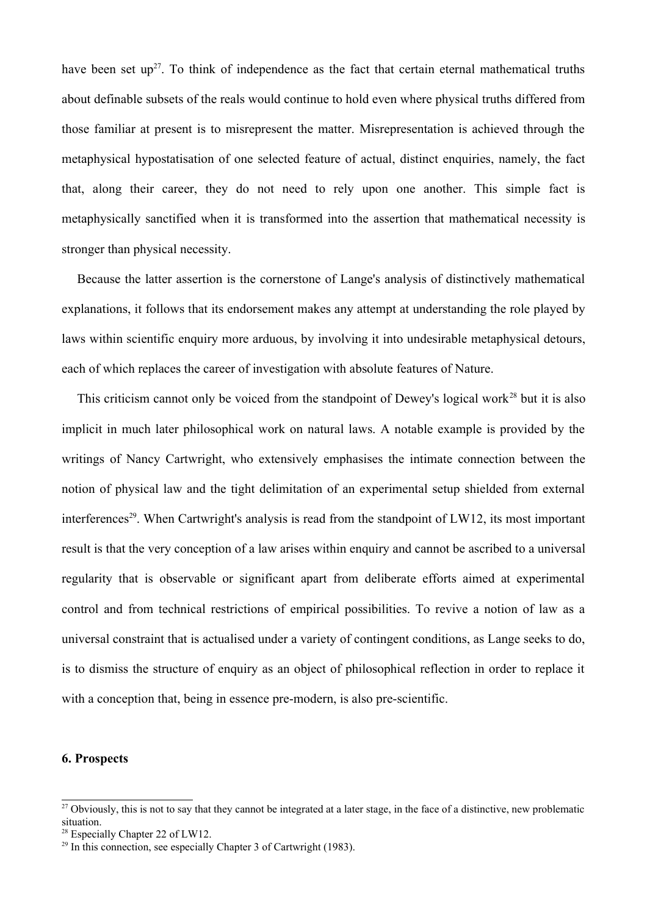have been set up<sup>[27](#page-15-0)</sup>. To think of independence as the fact that certain eternal mathematical truths about definable subsets of the reals would continue to hold even where physical truths differed from those familiar at present is to misrepresent the matter. Misrepresentation is achieved through the metaphysical hypostatisation of one selected feature of actual, distinct enquiries, namely, the fact that, along their career, they do not need to rely upon one another. This simple fact is metaphysically sanctified when it is transformed into the assertion that mathematical necessity is stronger than physical necessity.

Because the latter assertion is the cornerstone of Lange's analysis of distinctively mathematical explanations, it follows that its endorsement makes any attempt at understanding the role played by laws within scientific enquiry more arduous, by involving it into undesirable metaphysical detours, each of which replaces the career of investigation with absolute features of Nature.

This criticism cannot only be voiced from the standpoint of Dewey's logical work<sup>[28](#page-15-1)</sup> but it is also implicit in much later philosophical work on natural laws. A notable example is provided by the writings of Nancy Cartwright, who extensively emphasises the intimate connection between the notion of physical law and the tight delimitation of an experimental setup shielded from external interferences<sup>[29](#page-15-2)</sup>. When Cartwright's analysis is read from the standpoint of LW12, its most important result is that the very conception of a law arises within enquiry and cannot be ascribed to a universal regularity that is observable or significant apart from deliberate efforts aimed at experimental control and from technical restrictions of empirical possibilities. To revive a notion of law as a universal constraint that is actualised under a variety of contingent conditions, as Lange seeks to do, is to dismiss the structure of enquiry as an object of philosophical reflection in order to replace it with a conception that, being in essence pre-modern, is also pre-scientific.

# **6. Prospects**

<span id="page-15-0"></span><sup>&</sup>lt;sup>27</sup> Obviously, this is not to say that they cannot be integrated at a later stage, in the face of a distinctive, new problematic situation.

<span id="page-15-1"></span><sup>&</sup>lt;sup>28</sup> Especially Chapter 22 of LW12.

<span id="page-15-2"></span> $29$  In this connection, see especially Chapter 3 of Cartwright (1983).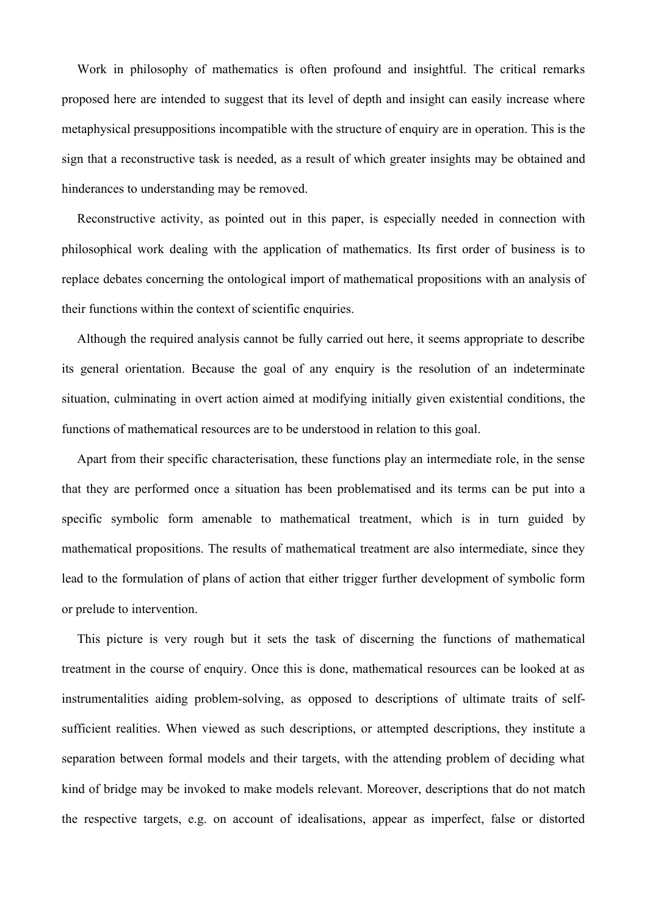Work in philosophy of mathematics is often profound and insightful. The critical remarks proposed here are intended to suggest that its level of depth and insight can easily increase where metaphysical presuppositions incompatible with the structure of enquiry are in operation. This is the sign that a reconstructive task is needed, as a result of which greater insights may be obtained and hinderances to understanding may be removed.

Reconstructive activity, as pointed out in this paper, is especially needed in connection with philosophical work dealing with the application of mathematics. Its first order of business is to replace debates concerning the ontological import of mathematical propositions with an analysis of their functions within the context of scientific enquiries.

Although the required analysis cannot be fully carried out here, it seems appropriate to describe its general orientation. Because the goal of any enquiry is the resolution of an indeterminate situation, culminating in overt action aimed at modifying initially given existential conditions, the functions of mathematical resources are to be understood in relation to this goal.

Apart from their specific characterisation, these functions play an intermediate role, in the sense that they are performed once a situation has been problematised and its terms can be put into a specific symbolic form amenable to mathematical treatment, which is in turn guided by mathematical propositions. The results of mathematical treatment are also intermediate, since they lead to the formulation of plans of action that either trigger further development of symbolic form or prelude to intervention.

This picture is very rough but it sets the task of discerning the functions of mathematical treatment in the course of enquiry. Once this is done, mathematical resources can be looked at as instrumentalities aiding problem-solving, as opposed to descriptions of ultimate traits of selfsufficient realities. When viewed as such descriptions, or attempted descriptions, they institute a separation between formal models and their targets, with the attending problem of deciding what kind of bridge may be invoked to make models relevant. Moreover, descriptions that do not match the respective targets, e.g. on account of idealisations, appear as imperfect, false or distorted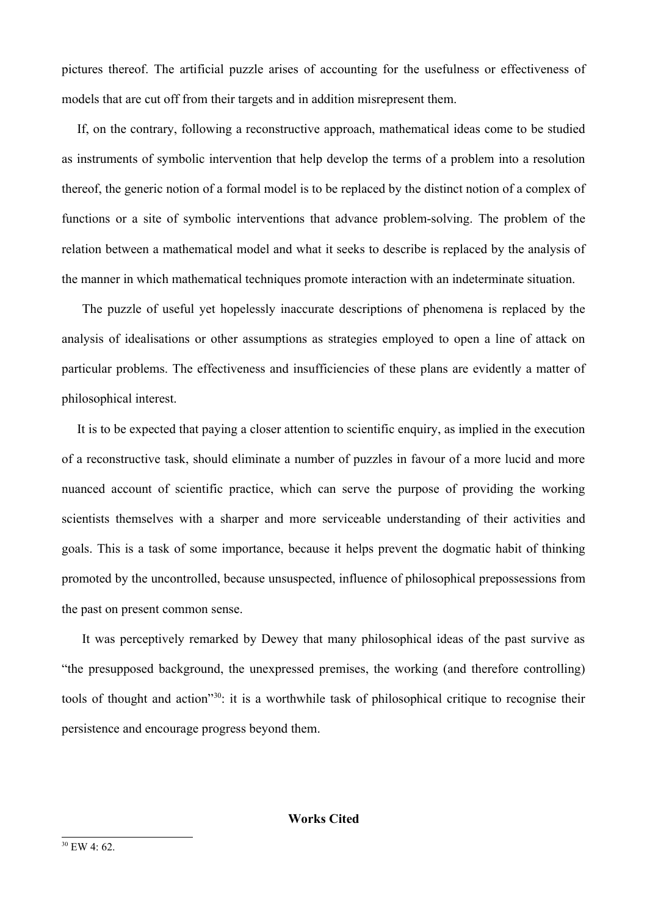pictures thereof. The artificial puzzle arises of accounting for the usefulness or effectiveness of models that are cut off from their targets and in addition misrepresent them.

If, on the contrary, following a reconstructive approach, mathematical ideas come to be studied as instruments of symbolic intervention that help develop the terms of a problem into a resolution thereof, the generic notion of a formal model is to be replaced by the distinct notion of a complex of functions or a site of symbolic interventions that advance problem-solving. The problem of the relation between a mathematical model and what it seeks to describe is replaced by the analysis of the manner in which mathematical techniques promote interaction with an indeterminate situation.

 The puzzle of useful yet hopelessly inaccurate descriptions of phenomena is replaced by the analysis of idealisations or other assumptions as strategies employed to open a line of attack on particular problems. The effectiveness and insufficiencies of these plans are evidently a matter of philosophical interest.

It is to be expected that paying a closer attention to scientific enquiry, as implied in the execution of a reconstructive task, should eliminate a number of puzzles in favour of a more lucid and more nuanced account of scientific practice, which can serve the purpose of providing the working scientists themselves with a sharper and more serviceable understanding of their activities and goals. This is a task of some importance, because it helps prevent the dogmatic habit of thinking promoted by the uncontrolled, because unsuspected, influence of philosophical prepossessions from the past on present common sense.

<span id="page-17-0"></span> It was perceptively remarked by Dewey that many philosophical ideas of the past survive as "the presupposed background, the unexpressed premises, the working (and therefore controlling) tools of thought and action"[30](#page-17-0): it is a worthwhile task of philosophical critique to recognise their persistence and encourage progress beyond them.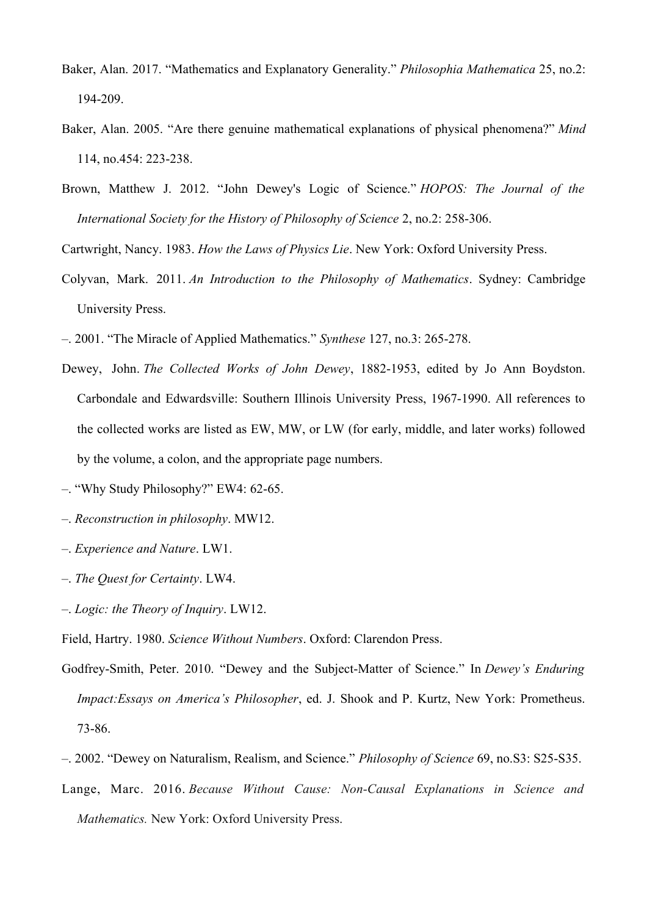- Baker, Alan. 2017. "Mathematics and Explanatory Generality." *Philosophia Mathematica* 25, no.2: 194-209.
- Baker, Alan. 2005. "Are there genuine mathematical explanations of physical phenomena?" *Mind* 114, no.454: 223-238.
- Brown, Matthew J. 2012. "John Dewey's Logic of Science." *HOPOS: The Journal of the International Society for the History of Philosophy of Science* 2, no.2: 258-306.

Cartwright, Nancy. 1983. *How the Laws of Physics Lie*. New York: Oxford University Press.

- Colyvan, Mark. 2011. *An Introduction to the Philosophy of Mathematics*. Sydney: Cambridge University Press.
- –. 2001. "The Miracle of Applied Mathematics." *Synthese* 127, no.3: 265-278.
- Dewey, John. *The Collected Works of John Dewey*, 1882-1953, edited by Jo Ann Boydston. Carbondale and Edwardsville: Southern Illinois University Press, 1967-1990. All references to the collected works are listed as EW, MW, or LW (for early, middle, and later works) followed by the volume, a colon, and the appropriate page numbers.
- –. "Why Study Philosophy?" EW4: 62-65.
- –. *Reconstruction in philosophy*. MW12.
- –. *Experience and Nature*. LW1.
- –. *The Quest for Certainty*. LW4.
- –. *Logic: the Theory of Inquiry*. LW12.

Field, Hartry. 1980. *Science Without Numbers*. Oxford: Clarendon Press.

- Godfrey-Smith, Peter. 2010. "Dewey and the Subject-Matter of Science." In *Dewey's Enduring Impact:Essays on America's Philosopher*, ed. J. Shook and P. Kurtz, New York: Prometheus. 73-86.
- –. 2002. "Dewey on Naturalism, Realism, and Science." *Philosophy of Science* 69, no.S3: S25-S35.
- Lange, Marc. 2016. *Because Without Cause: Non-Causal Explanations in Science and Mathematics.* New York: Oxford University Press.